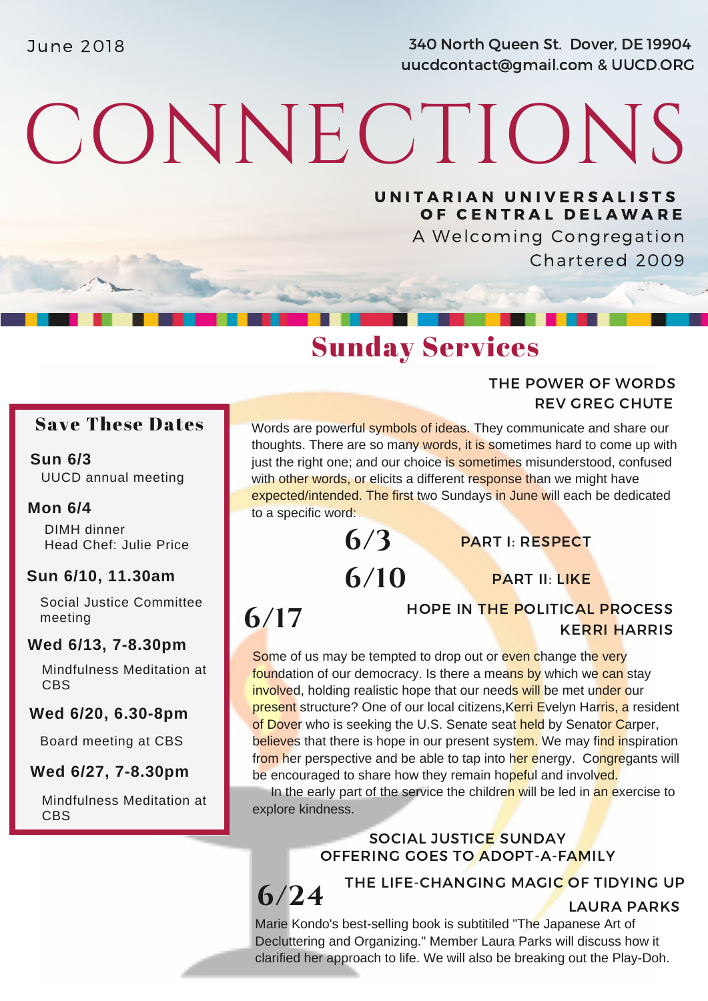June 2018 340 North Queen St. Dover, DE 19904 uucdcontact@gmail.com & UUCD.ORG

# CONNECTIONS

UNITARIAN UNIVERSALISTS OF CENTRAL DELAWARE

> A Welcoming Congregation Chartered 2009

> > REV GREG CHUTE

THE POWER OF WORDS

### Sunday Services

### Save These Dates

#### **Sun 6/3** UUCD annual meeting

### **Mon 6/4**

DIMH dinner Head Chef: Julie Price

### **Sun 6/10, 11.30am**

Social Justice Committee meeting

### **Wed 6/13, 7-8.30pm**

Mindfulness Meditation at **CBS** 

### **Wed 6/20, 6.30-8pm**

Board meeting at CBS

#### **Wed 6/27, 7-8.30pm**

Mindfulness Meditation at CBS

Words are powerful symbols of ideas. They communicate and share our thoughts. There are so many words, it is sometimes hard to come up with just the right one; and our choice is sometimes misunderstood, confused with other words, or elicits a different response than we might have expected/intended. The first two Sundays in June will each be dedicated to a specific word:

> **6/10 6/3**

PART I: RESPECT

PART II: LIKE

# **6/17**

HOPE IN THE POLITICAL PROCESS KERRI HARRIS

Some of us may be tempted to drop out or even change the very foundation of our democracy. Is there a means by which we can stay involved, holding realistic hope that our needs will be met under our present structure? One of our local citizens, Kerri Evelyn Harris, a resident of Dover who is seeking the U.S. Senate seat held by Senator Carper, believes that there is hope in our present system. We may find inspiration from her perspective and be able to tap into her energy. Congregants will be encouraged to share how they remain hopeful and involved.

In the early part of the service the children will be led in an exercise to explore kindness.

> SOCIAL JUSTICE SUNDAY OFFERING GOES TO ADOPT-A-FAMILY

**6/24** THE LIFE-CHANGING MAGIC OF TIDYING UP LAURA PARKS

Marie Kondo's best-selling book is subtitiled "The Japanese Art of Decluttering and Organizing." Member Laura Parks will discuss how it clarified her approach to life. We will also be breaking out the Play-Doh.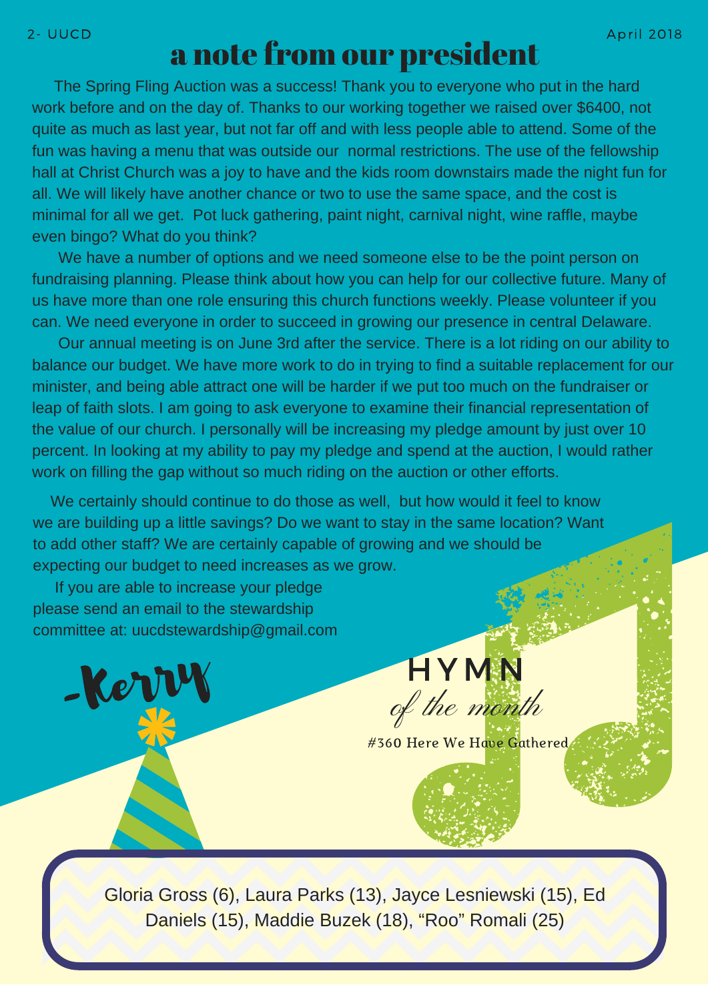## a note from our president

The Spring Fling Auction was a success! Thank you to everyone who put in the hard work before and on the day of. Thanks to our working together we raised over \$6400, not quite as much as last year, but not far off and with less people able to attend. Some of the fun was having a menu that was outside our normal restrictions. The use of the fellowship hall at Christ Church was a joy to have and the kids room downstairs made the night fun for all. We will likely have another chance or two to use the same space, and the cost is minimal for all we get. Pot luck gathering, paint night, carnival night, wine raffle, maybe even bingo? What do you think?

We have a number of options and we need someone else to be the point person on fundraising planning. Please think about how you can help for our collective future. Many of us have more than one role ensuring this church functions weekly. Please volunteer if you can. We need everyone in order to succeed in growing our presence in central Delaware.

Our annual meeting is on June 3rd after the service. There is a lot riding on our ability to balance our budget. We have more work to do in trying to find a suitable replacement for our minister, and being able attract one will be harder if we put too much on the fundraiser or leap of faith slots. I am going to ask everyone to examine their financial [representation](http://www.uua.org/economic/escalatinginequality) of the value of our church. I personally will be increasing my pledge amount by just over 10 percent. In looking at my ability to pay my pledge and spend at the auction, I would rather work on filling the gap without so much riding on the auction or other efforts.

We certainly should continue to do those as well, but how would it feel to know we are building up a little savings? Do we want to stay in the same location? Want to add other staff? We are certainly capable of growing and we should be expecting our budget to need increases as we grow.

If you are able to increase your pledge please send an email to the stewardship committee at: [uucdstewardship@gmail.com](http://www.uua.org/economic/escalatinginequality)

-Kerry

Gloria Gross (6), Laura Parks (13), Jayce Lesniewski (15), Ed

#360 Here We Have Gathered

of the month

**HYMN** 

Daniels (15), Maddie Buzek (18), "Roo" Romali (25)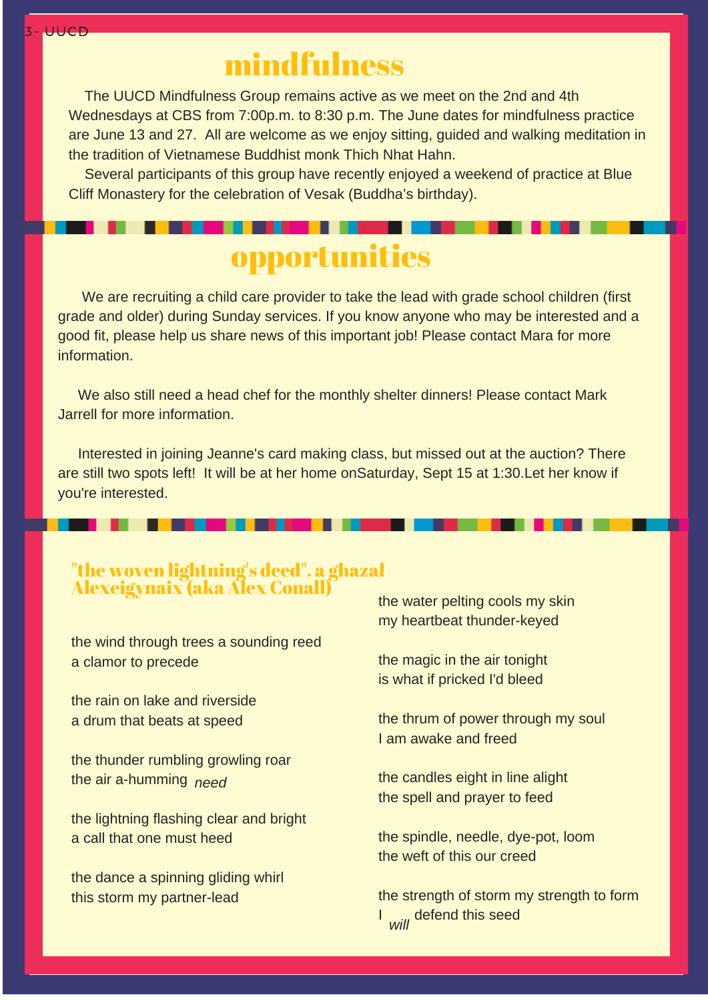# mindfulness

The UUCD Mindfulness Group remains active as we meet on the 2nd and 4th [Wednesdays](http://www.uua.org/economic/escalatinginequality) at CBS from 7:00p.m. to 8:30 p.m. The June dates for mindfulness practice are June 13 and 27. All are welcome as we enjoy sitting, guided and walking meditation in the tradition of Vietnamese Buddhist monk Thich Nhat Hahn.

Several participants of this group have recently enjoyed a weekend of practice at Blue Cliff Monastery for the celebration of Vesak (Buddha's birthday).

# opportunities

We are recruiting a child care provider to take the lead with grade school children (first grade and older) during Sunday services. If you know anyone who may be interested and a good fit, please help us share news of this important job! Please contact Mara for more information.

We also still need a head chef for the monthly shelter dinners! Please contact Mark Jarrell for more information.

Interested in joining Jeanne's card making class, but missed out at the auction? There are still two spots left! It will be at her home [onSaturday,](http://www.uua.org/economic/escalatinginequality) Sept 15 at 1:30.Let her know if you're interested.

### "the woven lightning's deed" , a ghazal Alexeigynaix (aka Alex Conall)

the wind through trees a sounding reed a clamor to precede

the rain on lake and riverside a drum that beats at speed

the thunder rumbling growling roar the air [a-humming](http://www.uua.org/economic/escalatinginequality) *need*

the lightning flashing clear and bright a call that one must heed

the dance a spinning gliding whirl this storm my [partner-lead](http://www.uua.org/economic/escalatinginequality)

the water pelting cools my skin my heartbeat [thunder-keyed](http://www.uua.org/economic/escalatinginequality)

the magic in the air tonight is what if pricked I'd bleed

the thrum of power through my soul I am awake and freed

the candles eight in line alight the spell and prayer to feed

the spindle, needle, dye-pot, loom the weft of this our creed

the strength of storm my strength to form I ..., [defend](http://www.uua.org/economic/escalatinginequality) this seed *will*